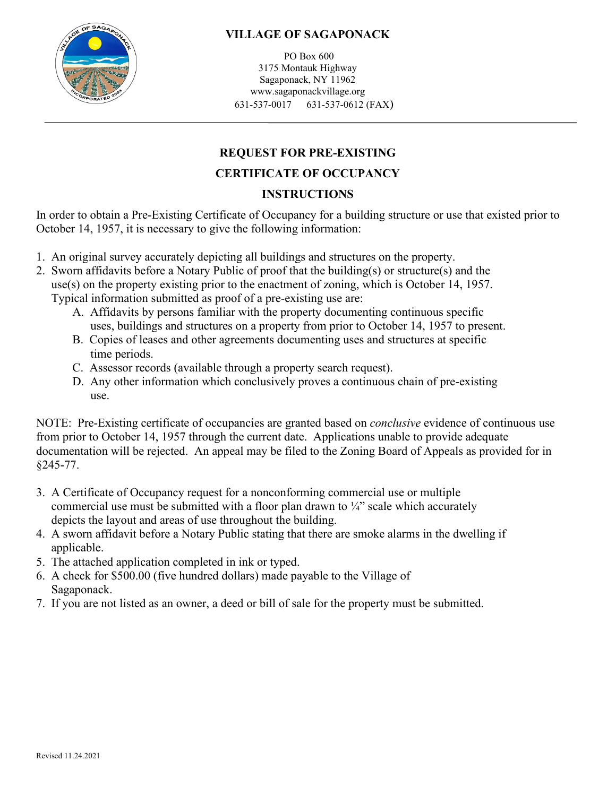

## **VILLAGE OF SAGAPONACK**

PO Box 600 3175 Montauk Highway Sagaponack, NY 11962 www.sagaponackvillage.org 631-537-0017 631-537-0612 (FAX)

# **REQUEST FOR PRE-EXISTING**

## **CERTIFICATE OF OCCUPANCY**

## **INSTRUCTIONS**

In order to obtain a Pre-Existing Certificate of Occupancy for a building structure or use that existed prior to October 14, 1957, it is necessary to give the following information:

- 1. An original survey accurately depicting all buildings and structures on the property.
- 2. Sworn affidavits before a Notary Public of proof that the building(s) or structure(s) and the use(s) on the property existing prior to the enactment of zoning, which is October 14, 1957. Typical information submitted as proof of a pre-existing use are:
	- A. Affidavits by persons familiar with the property documenting continuous specific uses, buildings and structures on a property from prior to October 14, 1957 to present.
	- B. Copies of leases and other agreements documenting uses and structures at specific time periods.
	- C. Assessor records (available through a property search request).
	- D. Any other information which conclusively proves a continuous chain of pre-existing use.

NOTE: Pre-Existing certificate of occupancies are granted based on *conclusive* evidence of continuous use from prior to October 14, 1957 through the current date. Applications unable to provide adequate documentation will be rejected. An appeal may be filed to the Zoning Board of Appeals as provided for in §245-77.

- 3. A Certificate of Occupancy request for a nonconforming commercial use or multiple commercial use must be submitted with a floor plan drawn to  $\frac{1}{4}$  scale which accurately depicts the layout and areas of use throughout the building.
- 4. A sworn affidavit before a Notary Public stating that there are smoke alarms in the dwelling if applicable.
- 5. The attached application completed in ink or typed.
- 6. A check for \$500.00 (five hundred dollars) made payable to the Village of Sagaponack.
- 7. If you are not listed as an owner, a deed or bill of sale for the property must be submitted.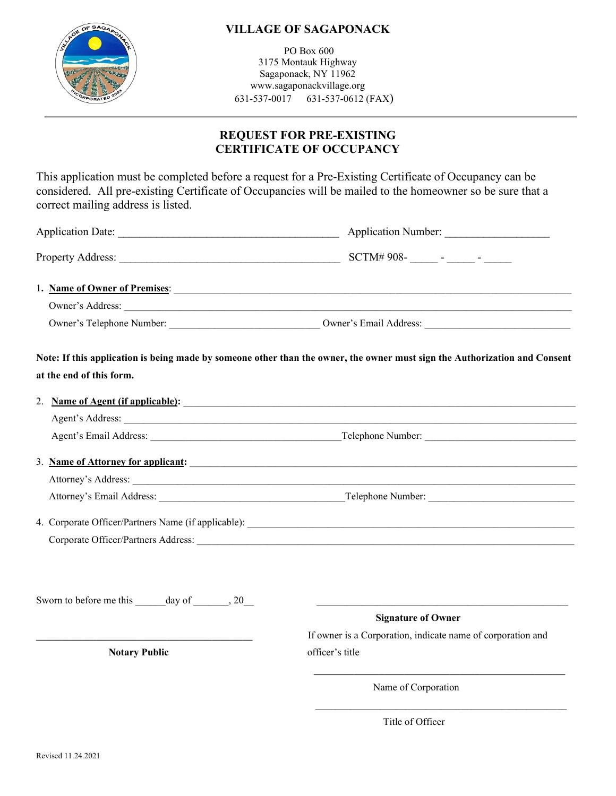

### **VILLAGE OF SAGAPONACK**

PO Box 600 3175 Montauk Highway Sagaponack, NY 11962 www.sagaponackvillage.org 631-537-0017 631-537-0612 (FAX)

## **REQUEST FOR PRE-EXISTING CERTIFICATE OF OCCUPANCY**

This application must be completed before a request for a Pre-Existing Certificate of Occupancy can be considered. All pre-existing Certificate of Occupancies will be mailed to the homeowner so be sure that a correct mailing address is listed.

|                                   | Application Number:                                                                                                        |
|-----------------------------------|----------------------------------------------------------------------------------------------------------------------------|
|                                   |                                                                                                                            |
|                                   | 1. Name of Owner of Premises:                                                                                              |
|                                   | Owner's Address:                                                                                                           |
|                                   | Owner's Telephone Number: Owner's Email Address:                                                                           |
|                                   | Note: If this application is being made by someone other than the owner, the owner must sign the Authorization and Consent |
| at the end of this form.          |                                                                                                                            |
| 2. Name of Agent (if applicable): |                                                                                                                            |
|                                   |                                                                                                                            |
|                                   |                                                                                                                            |
|                                   | 3. Name of Attorney for applicant:                                                                                         |
|                                   | Attorney's Address:                                                                                                        |
|                                   |                                                                                                                            |
|                                   |                                                                                                                            |
|                                   |                                                                                                                            |
|                                   |                                                                                                                            |
|                                   |                                                                                                                            |
| Sworn to before me this day of 30 | <b>Signature of Owner</b>                                                                                                  |
|                                   | If owner is a Corporation, indicate name of corporation and                                                                |
| <b>Notary Public</b>              | officer's title                                                                                                            |
|                                   | Name of Corporation                                                                                                        |
|                                   |                                                                                                                            |

Title of Officer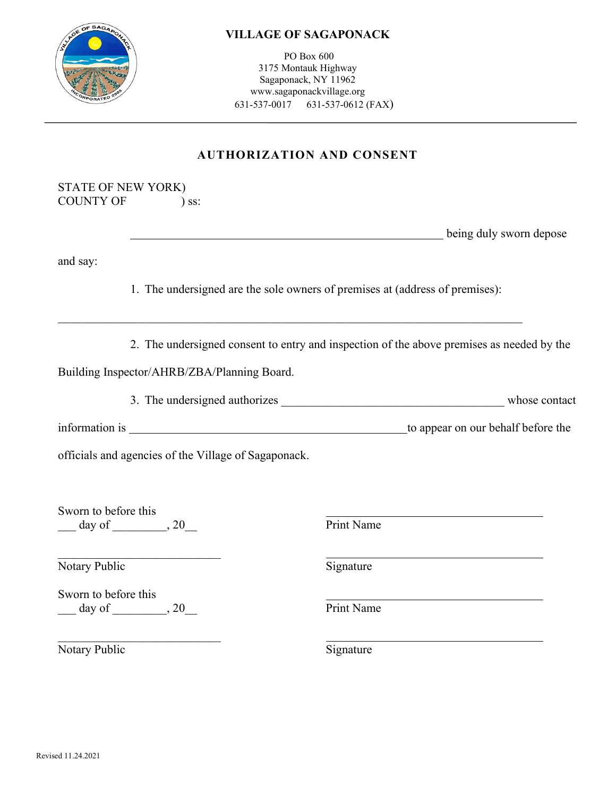

#### **VILLAGE OF SAGAPONACK**

PO Box 600 3175 Montauk Highway Sagaponack, NY 11962 www.sagaponackvillage.org 631-537-0017 631-537-0612 (FAX)

## **AUTHORIZATION AND CONSENT**

| STATE OF NEW YORK) |         |
|--------------------|---------|
| <b>COUNTY OF</b>   | $)$ ss: |

**being duly sworn depose** 

and say:

1. The undersigned are the sole owners of premises at (address of premises):

\_\_\_\_\_\_\_\_\_\_\_\_\_\_\_\_\_\_\_\_\_\_\_\_\_\_\_\_\_\_\_\_\_\_\_\_\_\_\_\_\_\_\_\_\_\_\_\_\_\_\_\_\_\_\_\_\_\_\_\_\_\_\_\_\_\_\_\_\_\_\_\_\_\_\_\_\_

2. The undersigned consent to entry and inspection of the above premises as needed by the

Building Inspector/AHRB/ZBA/Planning Board.

3. The undersigned authorizes **EXECUTE:** Whose contact

information is to appear on our behalf before the

officials and agencies of the Village of Sagaponack.

Sworn to before this \_\_\_ day of \_\_\_\_\_\_\_\_\_, 20\_\_ Print Name

\_\_\_\_\_\_\_\_\_\_\_\_\_\_\_\_\_\_\_\_\_\_\_\_\_\_\_

Notary Public Signature

Sworn to before this \_\_\_ day of \_\_\_\_\_\_\_\_\_, 20\_\_ Print Name

Notary Public Signature